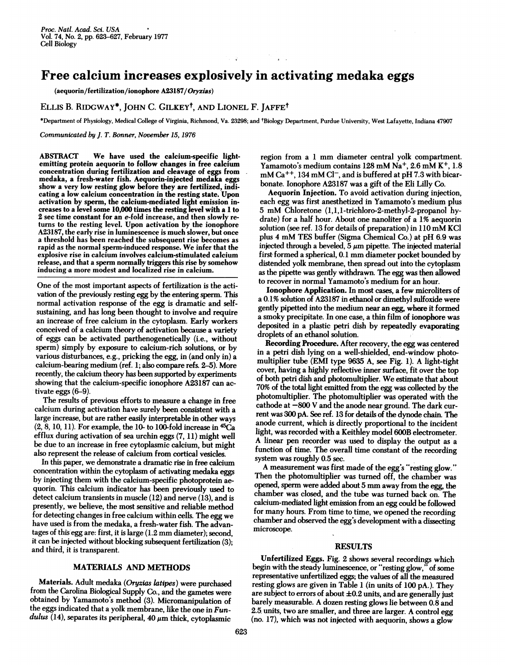# Free calcium increases explosively in activating medaka eggs

(aequorin/fertilization/ionophore A23187/Oryzias)

## ELLIS B. RIDGWAY\*, JOHN C. GILKEYt, AND LIONEL F. JAFFEt

\*Department of Physiology, Medical College of Virginia, Richmond, Va. 23298; and tBiology Department, Purdue University, West Lafayette, Indiana 47907

 $\label{eq:2} \begin{aligned} \mathcal{L}_{\text{max}}(\mathbf{r}) &= \mathcal{L}_{\text{max}}(\mathbf{r}) \\ \mathbf{r} &= \mathbf{r} + \mathbf{r} \\ \mathbf{r} &= \mathbf{r} + \mathbf{r} \\ \mathbf{r} &= \mathbf{r} + \mathbf{r} \\ \mathbf{r} &= \mathbf{r} + \mathbf{r} \\ \mathbf{r} &= \mathbf{r} + \mathbf{r} \\ \mathbf{r} &= \mathbf{r} + \mathbf{r} \\ \mathbf{r} &= \mathbf{r} + \mathbf{r} \\ \mathbf{r} &= \mathbf{r} + \mathbf{r} \\ \mathbf{$ 

Communicated by J. T. Bonner, November 15,1976

ABSTRACT We have used the calcium-specific lightemitting protein aequorin to follow changes in free calcium concentration during fertilization and cleavage of eggs from medaka, a fresh-water fish. Aequorin-injected medaka eggs show a very low resting glow before they are fertilized, indicating a low calcium concentration in the resting state. Upon activation by sperm, the calcium-mediated light emission increases to a level some 10,000 times the resting level with a <sup>1</sup> to 2 sec time constant for an e-fold increase, and then slowly returns to the resting level. Upon activation by the ionophore A23187, the early rise in luminescence is much slower, but once a threshold has been reached the subsequent rise becomes as rapid as the normal sperm-induced response. We infer that the explosive rise in calcium involves calcium-stimulated calcium release, and that a sperm normally triggers this rise by somehow inducing-a more modest and localized rise in calcium.

One of the most important aspects of fertilization is the activation of the previously resting egg by the entering sperm. This normal activation response of the egg is dramatic and selfsustaining, and has long been thought to involve and require an increase of free calcium in the cytoplasm. Early workers conceived of a calcium theory of activation because a variety of eggs can be activated parthenogenetically (i.e., without sperm) simply by exposure to calcium-rich solutions, or by various disturbances, e.g., pricking the egg, in (and only in) a calcium-bearing medium (ref. 1; also compare refs. 2-5). More recently, the calcium theory has been supported by experiments showing that the calcium-specific ionophore A23187 can activate eggs (6-9).

The results of previous efforts to measure a change in free calcium during activation have surely been consistent with a large increase, but are rather easily interpretable in other ways  $(2, 8, 10, 11)$ . For example, the 10- to 100-fold increase in  $45Ca$ efflux during activation of sea urchin eggs (7, 11) might well be due to an increase in free cytoplasmic calcium, but might also represent the release of calcium from cortical vesicles.

In this paper, we demonstrate a dramatic rise in free calcium concentration within the cytoplasm of activating medaka eggs by injecting them with the calcium-specific photoprotein aequorin. This calcium indicator has been previously used to detect calcium transients in muscle (12) and nerve (13), and is presently, we believe, the most sensitive and reliable method for detecting changes in free calcium within cells. The egg we have used is from the medaka, a fresh-water fish. The advantages of this egg are: first, it is large (1.2 mm diameter); second, it can be injected without blocking subsequent fertilization (3); and third, it is transparent.

## MATERIALS AND METHODS

Materials. Adult medaka (Oryzias latipes) were purchased from the Carolina Biological Supply Co., and the gametes were obtained by Yamamoto's method (3). Micromanipulation of the eggs indicated that a yolk membrane, like the one in  $\boldsymbol{Fun}$ dulus (14), separates its peripheral, 40  $\mu$ m thick, cytoplasmic

region from <sup>a</sup> <sup>1</sup> mm diameter central yolk compartment. Yamamoto's medium contains 128 mM Na<sup>+</sup>, 2.6 mM K<sup>+</sup>, 1.8  $mM Ca^{++}$ , 134 mM Cl<sup>-</sup>, and is buffered at pH 7.3 with bicarbonate. Ionophore A23187 was a gift of the Eli Lilly Co.

Aequorin Injection. To avoid activation during injection, each egg was first anesthetized in Yamamoto's medium plus <sup>5</sup> mM Chloretone (1,1,1-trichloro-2-methyl-2-propanol hydrate) for a half hour. About one nanoliter of a 1% aequorin solution (see ref. <sup>13</sup> for details of preparation) in <sup>110</sup> mM KCI plus <sup>4</sup> mM TES buffer (Sigma Chemical Co.) at pH 6.9 was injected through a beveled,  $5 \mu m$  pipette. The injected material first formed a spherical, 0.1 mm diameter pocket bounded by distended yolk membrane, then spread out into the cytoplasm as the pipette was gently withdrawn. The egg was then allowed to recover in normal Yamamoto's medium for an hour.

Ionophore Application. In most cases, a few microliters of a 0.1% solution of A23187 in ethanol or dimethyl sulfoxide were gently pipetted into the medium near an egg, where it formed a smoky precipitate. In one case, a thin film of ionophore was deposited in a plastic petri dish by repeatedly evaporating droplets of an ethanol solution.

Recording Procedure. After recovery, the egg was centered in a petri dish lying on a well-shielded, end-window photomultiplier tube (EMI type 9635 A, see Fig. 1). A light-tight cover, having a highly reflective inner surface, fit over the top of both petri dish and photomultiplier. We estimate that about 70% of the total light emitted from the egg was collected by the photomultiplier. The photomultiplier was operated with the cathode at  $-800$  V and the anode near ground. The dark current was 300 pA. See ref. 13 for details of the dynode chain. The anode current, which is directly proportional to the incident light, was recorded with a Keithley model 600B electrometer. A linear pen recorder was used to display the output as <sup>a</sup> function of time. The overall time constant of the recording system was roughly 0.5 sec.

A measurement was first made of the egg's "resting glow." Then the photomultiplier was turned off, the chamber was opened, sperm were added about <sup>5</sup> mm away from the egg, the chamber was closed, and the tube was turned back on. The calcium-mediated light emission from an egg could be followed for many hours. From time to time, we opened the recording chamber and observed the egg's development with a dissecting microscope.

#### RESULTS

Unfertilized Eggs. Fig. 2 shows several recordings which begin with the steady luminescence, or "resting glow," of some representative unfertilized eggs; the values of all the measured resting glows are given in Table <sup>1</sup> (in units of 100 pA.). They are subject to errors of about  $\pm 0.2$  units, and are generally just barely measurable. A dozen resting glows lie between 0.8 and 2.5. units, two are smaller, and three are larger. A control egg (no. 17), which was not injected with aequorin, shows a glow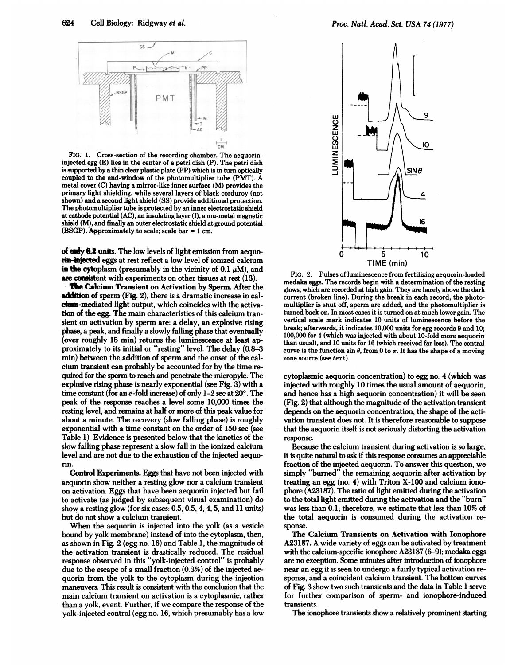

FIG. 1. Cross-section of the recording chamber. The aequorininjected egg (E) lies in the center of a petri dish (P). The petri dish is supported by a thin clear plastic plate (PP) which is in turn optically coupled to the end-window of the photomultiplier tube (PMT). A metal cover (C) having a mirror-like inner surface (M) provides the primary light shielding, while several layers of black corduroy (not shown) and a second light shield (SS) provide additional protection. The photomultiplier tube is protected by an inner electrostatic shield at cathode potential (AC), an insulating layer (I), a mu-metal magnetic shield (M), and finally an outer electrostatic shield at ground potential (BSGP). Approximately to scale; scale bar  $= 1$  cm.

of only 0.2 units. The low levels of light emission from aequorin-injected eggs at rest reflect a low level of ionized calcium in the cytoplasm (presumably in the vicinity of 0.1  $\mu$ M), and are consistent with experiments on other tissues at rest (13).

The Calcium Transient on Activation by Sperm. After the addition of sperm (Fig. 2), there is a dramatic increase in caldwa-mediated light output, which coincides with the activation of the egg. The main characteristics of this calcium transient on activation by sperm are: a delay, an explosive rising phase, a peak, and finally a slowly falling phase that eventually (over roughly 15 min) returns the luminescence at least approximately to its initial or "resting" level. The delay (0.8-3 min) between the addition of sperm and the onset of the calcium transient can probably be accounted for by the time required for the sperm to reach and penetrate the micropyle. The explosive rising phase is nearly exponential (see Fig. 3) with a time constant (for an  $e$ -fold increase) of only  $1-2$  sec at  $20^\circ$ . The peak of the response reaches a level some 10,000 times the resting level, and remains at half or more of this peak value for about a minute. The recovery (slow falling phase) is roughly exponential with a time constant on the order of 150 sec (see Table 1). Evidence is presented below that the kinetics of the slow falling phase represent a slow fall in the ionized calcium level and are not due to the exhaustion of the injected aequorin.

Control Experiments. Eggs that have not been injected with aequorin show neither a resting glow nor a calcium transient on activation. Eggs that have been aequorin injected but fail to activate (as judged by subsequent visual examination) do show a resting glow (for six cases: 0.5, 0.5, 4, 4, 5, and 11 units) but do not show a calcium transient.

When the aequorin is injected into the yolk (as a vesicle bound by yolk membrane) instead of into the cytoplasm, then, as shown in Fig. 2 (egg no. 16) and Table 1, the magnitude of the activation transient is drastically reduced. The residual response observed in this "yolk-injected control" is probably due to the escape of a small fraction (0.3%) of the injected aequorin from the yolk to the cytoplasm during the injection maneuvers. This result is consistent with the conclusion that the main calcium transient on activation is a cytoplasmic, rather than <sup>a</sup> yolk, event. Further, if we compare the response of the yolk-injected control (egg no. 16, which presumably has-a low



FIG. 2. Pulses of luminescence from fertilizing aequorin-loaded medaka eggs. The records begin with a determination of the resting glows, which are recorded at high gain. They are barely above the dark current (broken line). During the break in each record, the photomultiplier is shut off, sperm are added, and the photomultiplier is turned back on. In most cases it is turned on at much lower gain. The vertical scale mark indicates 10 units of luminescence before the break; afterwards, it indicates 10,000 units for egg records 9 and 10; 100,000 for 4 (which was injected with about 10-fold more aequorin than usual), and 10 units for 16 (which received far less). The central curve is the function sin  $\theta$ , from 0 to  $\pi$ . It has the shape of a moving zone source (see text).

cytoplasmic aequorin concentration) to egg no. 4 (which was injected with roughly 10 times the usual amount of aequorin, and hence has a high aequorin concentration) it will be seen (Fig. 2) that although the magnitude of the activation transient depends on the aequorin concentration, the shape of the activation transient does not. It is therefore reasonable to suppose that the aequorin itself is not seriously distorting the activation response.

Because the calcium transient during activation is so large, it is quite natural to ask if this response consumes an appreciable fraction of the injected aequorin. To answer this question, we simply "burned" the remaining aequorin after activation by treating an egg (no. 4) with Triton X-100 and calcium ionophore (A23187). The ratio of light emitted during the activation to the total light emitted during the activation and the "burn" was less than 0.1; therefore, we estimate that less than 10% of the total aequorin is consumed during the activation response.

The Calcium Transients on Activation with Ionophore A23187. A wide variety of eggs can be activated by treatment with the calcium-specific ionophore A23187 (6-9); medaka eggs are no exception. Some minutes after introduction of ionophore near an egg it is seen to undergo a fairly typical activation response, and a coincident calcium transient. The bottom curves of Fig. 3 show two such transients and the data in Table <sup>1</sup> serve for further comparison of sperm- and ionophore-induced transients.

The ionophore transients show a relatively prominent starting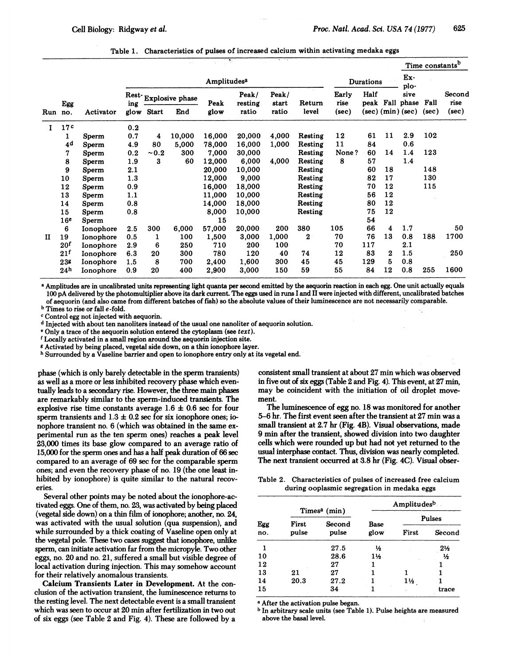|  |  |  |  | Table 1. Characteristics of pulses of increased calcium within activating medaka eggs |
|--|--|--|--|---------------------------------------------------------------------------------------|
|--|--|--|--|---------------------------------------------------------------------------------------|

|     |                 |           |             |              |                      | ÷.     |                  | A. T.A.        |                  |               |      |             |                         | Time constants <sup>b</sup> |                |
|-----|-----------------|-----------|-------------|--------------|----------------------|--------|------------------|----------------|------------------|---------------|------|-------------|-------------------------|-----------------------------|----------------|
|     |                 |           | Amplitudesa |              |                      |        |                  |                | <b>Durations</b> |               |      | Ex-<br>plo- |                         |                             |                |
|     | Egg             |           | ing         |              | Rest-Explosive phase | Peak   | Peak/<br>resting | Peak/<br>start | Return           | Early<br>rise | Half |             | sive<br>peak Fall phase | Fall                        | Second<br>rise |
| Run | no.             | Activator | glow        | <b>Start</b> | End                  | glow   | ratio            | ratio          | level            | (sec)         |      |             | $(sec)$ $(min)$ $(sec)$ | (sec)                       | (sec)          |
| I   | 17c             |           | 0.2         |              |                      |        |                  |                |                  |               |      |             |                         |                             |                |
|     | 1               | Sperm     | 0.7         | 4            | 10,000               | 16,000 | 20,000           | 4,000          | Resting          | 12            | 61   | 11          | 2.9                     | 102                         |                |
|     | 4d              | Sperm     | 4.9         | 80           | 5,000                | 78,000 | 16,000           | 1,000          | Resting          | 11            | 84   |             | 0.6                     |                             |                |
|     | 7               | Sperm     | 0.2         | ~10.2        | 300                  | 7,000  | 30,000           |                | Resting          | None?         | 60   | 14          | 1.4                     | 123                         |                |
|     | 8               | Sperm     | 1.9         | 3            | 60                   | 12,000 | 6,000            | 4,000          | Resting          | 8             | 57   |             | 1.4                     |                             |                |
|     | 9               | Sperm     | 2.1         |              |                      | 20,000 | 10,000           |                | Resting          |               | 60   | 18          |                         | 148                         |                |
|     | 10              | Sperm     | 1.3         |              |                      | 12,000 | 9,000            |                | Resting          |               | 82   | 17          |                         | 130                         |                |
|     | 12              | Sperm     | 0.9         |              |                      | 16,000 | 18,000           |                | Resting          |               | 70   | 12          |                         | 115                         |                |
|     | 13              | Sperm     | 1.1         |              |                      | 11,000 | 10,000           |                | Resting          |               | 56   | 12          |                         |                             |                |
|     | 14              | Sperm     | 0.8         |              |                      | 14,000 | 18,000           |                | Resting          |               | 80   | 12          |                         |                             |                |
|     | 15              | Sperm     | 0.8         |              |                      | 8,000  | 10,000           |                | Resting          |               | 75   | 12          |                         |                             |                |
|     | 16 <sup>e</sup> | Sperm     |             |              |                      | 15     |                  |                |                  |               | 54   |             |                         |                             |                |
|     | 6               | Ionophore | 2.5         | 300          | 6,000                | 57,000 | 20,000           | 200            | 380              | 105           | 66   | 4           | 1.7                     |                             | 50             |
| п   | 19              | Ionophore | 0.5         | 1            | 100                  | 1,500  | 3,000            | 1,000          | $\bf{2}$         | 70            | 76   | 13          | 0.8                     | 188                         | 1700           |
|     | 20 <sup>f</sup> | Ionophore | 2.9         | 6            | 250                  | 710    | 200              | 100            |                  | 70            | 117  |             | 2.1                     |                             |                |
|     | 21 <sup>f</sup> | Ionophore | 6.3         | 20           | 300                  | 780    | 120              | 40             | 74               | 12            | 83   | 2           | 1.5                     |                             | 250            |
|     | 238             | Ionophore | 1.5         | 8            | 700                  | 2,400  | 1,600            | 300            | 45               | 45            | 129  | 5           | 0.8                     |                             |                |
|     | 24 <sup>h</sup> | Ionophore | 0.9         | 20           | 400                  | 2,900  | 3,000            | 150            | 59               | 55            | 84   | 12          | 0.8                     | 255                         | 1600           |

<sup>a</sup> Amplitudes are in uncalibrated units representing light quanta per second emitted by the aequorin reaction in each egg. One unit actually equals 100 pA delivered by the photomultiplier above its dark current. The eggs used in runs <sup>I</sup> and II were injected with different, uncalibrated batches of aequorin (and also came from different batches of fish) so the absolute values of their luminescence are not necessarily comparable.

<sup>b</sup> Times to rise or fall e-fold.

<sup>c</sup> Control egg not injected with aequorin.

<sup>d</sup> Injected with about ten nanoliters instead of the usual one nanoliter of aequorin solution.

<sup>e</sup> Only a trace of the aequorin solution entered the cytoplasm (see text).

<sup>f</sup> Locally activated in a small region around the aequorin injection site.

<sup>g</sup> Activated by being placed, vegetal side down, on a thin ionophore layer.

<sup>h</sup> Surrounded by a Vaseline barrier and open to ionophore entry only at its vegetal end.

phase (which is only barely detectable in the sperm transients) as well as a more or less inhibited recovery phase which eventually leads to a secondary rise. However, the three main phases are remarkably similar to the sperm-induced transients. The explosive rise time constants average  $1.6 \pm 0.6$  sec for four sperm transients and  $1.3 \pm 0.2$  sec for six ionophore ones; ionophore transient no. 6 (which was obtained in the same experimental run as the ten sperm ones) reaches a peak level 23,000 times its base glow compared to an average ratio of 15,000 for the sperm ones and has a half peak duration of 66 sec compared to an average of 69 sec for the comparable sperm ones; and even the recovery phase of no. 19 (the one least inhibited by ionophore) is quite similar to the natural recoveries.

Several other points may be noted about the ionophore-activated eggs. One of them, no. 23, was activated by being placed (vegetal side down) on a thin film of ionophore; another, no. 24, was activated with the usual solution (qua suspension), and while surrounded by a thick coating of Vaseline open only at the vegetal pole. These two cases suggest that ionophore, unlike sperm, can initiate activation far from the micropyle. Two other eggs, no. 20 and no. 21, suffered a small but visible degree of local activation during injection. This may somehow account for their relatively anomalous transients.

Calcium Transients Later in Development. At the conclusion of the activation transient, the luminescence returns to the resting level. The next detectable event is a small transient which was seen to occur at 20 min after fertilization in two out of six eggs (see Table 2 and Fig. 4). These are followed by a

consistent small transient at about 27 min which was observed in five out of six eggs (Table 2 and Fig. 4). This event, at 27 min, may be coincident with the initiation of oil droplet movement.

The luminescence of egg no. 18 was monitored for another 5-6 hr. The first event seen after the transient at 27 min was a small transient at 2.7 hr (Fig. 4B). Visual observations, made 9 min after the transient, showed division into two daughter cells which were rounded up but had not yet returned to the usual interphase contact. Thus, division was nearly completed. The next transient occurred at 3.8 hr (Fig. 4C). Visual obser-

Table 2. Characteristics of pulses of increased free calcium during ooplasmic segregation in medaka eggs

|            |                |                                    | Amplitudesb  |                |                |  |  |  |
|------------|----------------|------------------------------------|--------------|----------------|----------------|--|--|--|
|            |                | Times <sup>a</sup> (min)<br>Second |              | Pulses         |                |  |  |  |
| Egg<br>no. | First<br>pulse | pulse                              | Base<br>glow | First          | Second         |  |  |  |
| 1          |                | 27.5                               | 1/2          |                | $2\frac{1}{2}$ |  |  |  |
| 10         |                | 28.6                               | 1½           |                | ₩              |  |  |  |
| 12         |                | 27                                 |              |                |                |  |  |  |
| 13         | 21             | 27                                 |              |                |                |  |  |  |
| 14         | 20.3           | 27.2                               |              | $1\frac{1}{2}$ |                |  |  |  |
| 15         |                | 34                                 |              |                | trace          |  |  |  |

<sup>a</sup> After the activation pulse began.

<sup>b</sup> In arbitrary scale units (see Table 1). Pulse heights are measured above the basal level.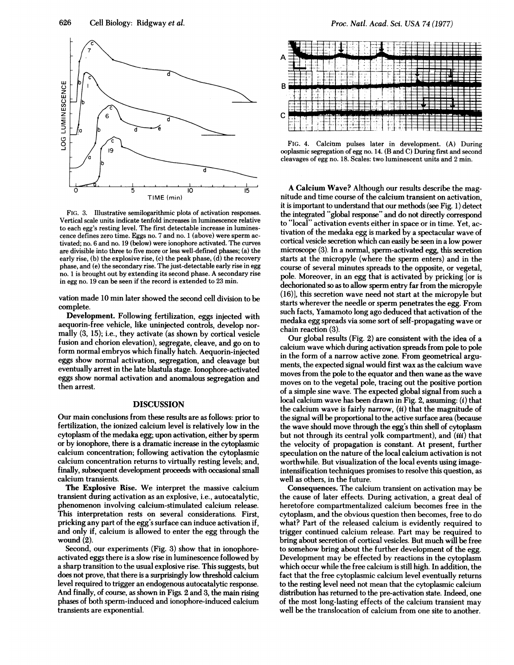

FIG. 3. Illustrative semilogarithmic plots of activation responses. Vertical scale units indicate tenfold increases in luminescence relative to each egg's resting level. The first detectable increase in luminescence defines zero time. Eggs no. 7 and no. <sup>1</sup> (above) were sperm activated; no. 6 and no. 19 (below) were ionophore activated. The curves are divisible into three to five more or less well-defined phases; (a) the early rise, (b) the explosive rise, (c) the peak phase, (d) the recovery phase, and (e) the secondary rise. The just-detectable early rise in egg no. <sup>1</sup> is brought out by extending its second phase. A secondary rise in egg no. 19 can be seen if the record is extended to 23 min.

vation made 10 min later showed the second cell division to be complete.

Development. Following fertilization, eggs injected with aequorin-free vehicle, like uninjected controls, develop normally (3, 15); i.e., they activate (as shown by cortical vesicle fusion and chorion elevation), segregate, cleave, and go on to form normal embryos which finally hatch. Aequorin-injected eggs show normal activation, segregation, and cleavage but eventually arrest in the late blastula stage. lonophore-activated eggs show normal activation and anomalous segregation and then arrest.

### DISCUSSION

Our main conclusions from these results are as follows: prior to fertilization, the ionized calcium level is relatively low in the cytoplasm of the medaka egg; upon activation, either by sperm or by ionophore, there is a dramatic increase in the cytoplasmic calcium concentration; following activation the cytoplasmic calcium concentration returns to virtually resting levels; and, finally, subsequent development proceeds with occasional small calcium transients.

The Explosive Rise. We interpret the massive calcium transient during activation as an explosive, i.e., autocatalytic, phenomenon involving calcium-stimulated calcium release. This interpretation rests on several considerations. First, pricking any part of the egg's surface can induce activation if, and only if, calcium is allowed to enter the egg through the wound (2).

Second, our experiments (Fig. 3) show that in ionophoreactivated eggs there is a slow rise in luminescence followed by a sharp transition to the usual explosive rise. This suggests, but does not prove, that there is a surprisingly low threshold calcium level required to trigger an endogenous autocatalytic response. And finally, of course, as shown in Figs. 2 and 3, the main rising phases of both sperm-induced and ionophore-induced calcium transients are exponential.



FIG. 4. Calcium pulses later in development. (A) During ooplasmic segregation of egg no. 14. (B and C) During first and second cleavages of egg no. 18. Scales: two luminescent units and 2 min.

A Calcium Wave? Although our results describe the magnitude and time course of the calcium transient on activation, it is important to understand that our methods (see Fig. 1) detect the integrated "global response" and do not directly correspond to "local" activation events either in space or in time. Yet, activation of the medaka egg is marked by a spectacular wave of cortical vesicle secretion which can easily be seen in a low power microscope (3). In a normal, sperm-activated egg, this secretion starts at the micropyle (where the sperm enters) and in the course of several minutes spreads to the opposite, or vegetal, pole. Moreover, in an egg that is activated by pricking [or is dechorionated so as to allow sperm entry far from the micropyle (16)], this secretion wave need not start at the micropyle but starts wherever the needle or sperm penetrates the egg. From such facts, Yamamoto long ago deduced that activation of the medaka egg spreads via some sort of self-propagating wave or chain reaction (3).

Our global results (Fig. 2) are consistent with the idea of a calcium wave which during activation spreads from pole to pole in the form of a narrow active zone. From geometrical arguments, the expected signal would first wax as the calcium wave moves from the pole to the equator and then wane as the wave moves on to the vegetal pole, tracing out the positive portion of a simple sine wave. The expected global signal from such a local calcium wave has been drawn in Fig. 2, assuming: (i) that the calcium wave is fairly narrow,  $(ii)$  that the magnitude of the signal will be proportional to the active surface area (because the wave should move through the egg's thin shell of cytoplasm but not through its central yolk compartment), and *(iii)* that the velocity of propagation is constant. At present, further speculation on the nature of the local calcium activation is not worthwhile. But visualization of the local events using imageintensification techniques promises to resolve this question, as well as others, in the future.

Consequences. The calcium transient on activation may be the cause of later effects. During activation, a great deal of heretofore compartmentalized calcium becomes free in the cytoplasm, and the obvious question then becomes, free to do what? Part of the released calcium is evidently required to trigger continued calcium release. Part may be required to bring about secretion of cortical vesicles. But much will be free to somehow bring about the further development of the egg. Development may be effected by reactions in the cytoplasm which occur while the free calcium is still high. In addition, the fact that the free cytoplasmic calcium level eventually returns to the resting level need not mean that the cytoplasmic calcium distribution has returned to the pre-activation state. Indeed, one of the most long-lasting effects of the calcium transient may well be the translocation of calcium from one site to another.